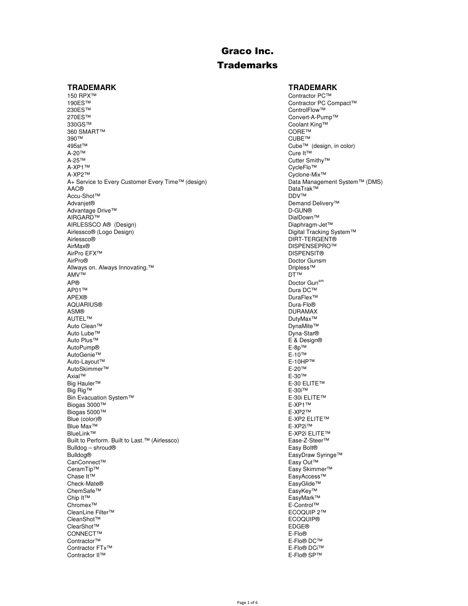## **Trademarks**

#### **TRADEMARK TRADEMARK**

150 RPX™ Contractor PC™ Contractor PC™ Contractor PC™ Contractor PC™ Contractor PC™ Contractor PC C 190ES™ Contractor PC Compact™ Contractor PC Compact™ Contractor PC Compact™ Contractor PC Compact™ Control<br>Exemploy™ ControlFlow™ 230ES™ ControlFlow™ ControlFlow™ ControlFlow™ ControlFlow™ ControlFlow™ ControlFlow™ ControlFlow™ ControlFlow™ 270ES™ Convert-A-Pump™ Convert-A-Pump™ Convert-A-Pump™ Convert-A-Pump™ Convert-A-Pump™ 360 SMART™ CORE™ CORE™ CORE™ CORE™ CORE™ CORE™ CORE™ CUBE™ 390™ CUBE™ 495st™ Cube™ (design, in color) A-20™ Cure It™ A-25™ Cutter Smithy™ Cutter Smithy™ Cutter Smithy™ Cutter Smithy™ A-XP1™ CycleFlo™<br>A-XP2™ CycleFlo™ A+ Service to Every Customer Every Time™ (design)<br>AAC® Accu-Shot™<br>Advanjet® Advantage Drive™<br>AIRGARD™ AIRLESSCO A® (Design)<br>Airlessco® (Logo Design) Airlessco® (Logo Design) Digital Tracking System™ AirMax® DISPENSEPRO™<br>AirPro EFX™ DISPENSIT® AirPro EFX™ DISPENSIT®<br>AirPro® Doctor Gunsn Allways on. Always Innovating.™ Dripless™ Dripless™ Dripless™ Dripless™ Drimess North Drimess North Drimess Nor<br>DT™ DT™ AMV™ DT™ AP® Doctor Gun<sup>sm</sup><br>AP01™ Dura DC™ Dura DC™ AP01™ Dura DC™ Dura DC™ Dura DC™ Dura DC™ Dura DC™ Dura DC™ APEX® DuraFlex™ AQUARIUS® Dura-Flo® ASM® DURAMAX AUTEL™ DutyMax™<br>Auto Clean™ dutyMax™ DutyMax™ DutyMax™ Auto Clean™ DynaMite™ DynaMite™ DynaMite™ DynaMite™ DynaMite™<br>Auto Lube™ Dyna-Star® Auto Lube<sup>™</sup><br>Auto Plus<sup>™</sup> AutoPump® E-8p™ E-8p™ E-10™ E-10™ AutoGenie™ E-10™<br>Auto-Layout™ E-10HP™ E-10HP™ E-10HP™ Auto-Layout™ E-10HF™ E-20™ E-10HF<br>AutoSkimmer™ E-20™ AutoSkimmer™ E-20™ E-20™ E-30™ E-30™ E-30™ Axial™ E-30™ Big Hauler™ E-30 ELITE™ E-30 ELITE™ E-30 ELITE™ E-30 ELITE™ E-30 ELITE™ E-30 ELITE™ E-30i™ Big Rig™ Bin Evacuation System™ example of the state of the state of the state of the Solid ELITE™ E-30i ELITE™ example of the Solid ELITE™ example of the Solid ELITE™ example of the Solid ELITE™ example of the Solid ELITE™ exampl Biogas 3000™ E-XP1™ E-XP1™ E-XP1™ E-XP1™ E-XP1™ E-XP2™ Biogas 5000™ Blue (color)® E-XP2 ELITE™ Blue Max<sup>™</sup><br>BlueLink™ Built to Perform. Built to Last.™ (Airlessco) Bulldog – shroud®<br>Bulldog® EasyDraw S CanConnect™<br>CeramTip™ CeramTip™ Easy Skimmer™ Easy Skimmer™ Easy Skimmer™ Easy Skimmer™ Easy Skimmer™ Easy Skimmer™ Chase It™<br>Check-Mate® Check is a structure of the control of the control of the control of the control of the control of the control of the control of the control of the control of the control of the control of the contr ChemSafe™ EasyKey™ EasyKey™ EasyKey™ EasyKey™ EasyKey™ EasyKey™ Chip It™ EasyMark™<br>Chromex™ E-Control™ E-Control™ E-Control™ CleanLine Filter™ ECOQUIP 2™ CleanShot™ ECOQU<br>ClearShot™ EDGE® EDGE® ClearShot™ EDGE®<br>CONNECT™ E-Flo® CONNECT™ E-Flo® E-Flo® DC™ entractor™ entractor™ entractor™ entractor™ entractor™ entractor™ entractor™ entractor™ entractor™ entractor™ entractor™ entractor™ entractor™ entractor™ entractor™ entractor™ entractor™ entract Contractor™ E-Flo® DC™ E-Flo® DC™ E-Flo® DC™ E-Flo® DC™ E-Flo® DC™ Contractor FTx<sup>™</sup><br>Contractor II™

Coolant King™<br>CORE™ Cyclone-Mix™<br>Data Management System™ (DMS) DataTrak™<br>DDV™ Demand Delivery™<br>D-GUN® DialDown™<br>Diaphragm-Jet™ DIRT-TERGENT® Doctor Gunsm<br>Dripless<sup>™</sup> E & Design®<br>E-8p™ E-XP2i ELITE™<br>Ease-Z-Steer™ EasyDraw Syringe™<br>Easy Out™ EasyGlide™ E-Control™<br>ECOQUIP 2™ E-Flo® SP™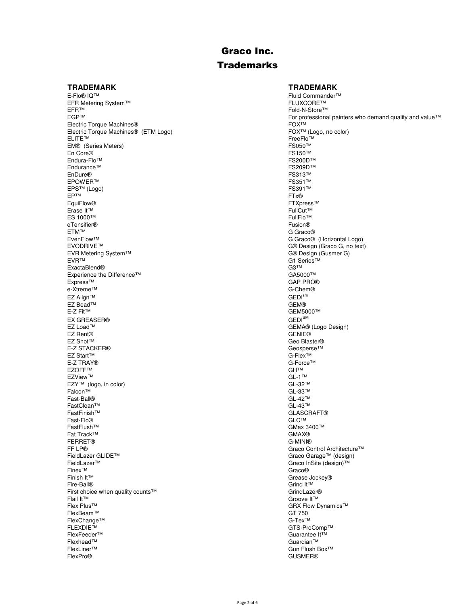## **Trademarks**

E-Flo® IQ™ Fluid Commander™<br>EFR Metering System™ FLUXCORE™ FLUXCORE™ EFR Metering System™<br>EFR™ EFR™ Fold-N-Store™<br>EGP™ Fold-N-Store™ Fold-N-Store™ For professional Electric Torque Machines®<br>
Electric Torque Machines® (ETM Logo) FOX™ (Logo, no color) Electric Torque Machines® (ETM Logo)<br>ELITE™ EM® (Series Meters) FS050™ En Core® FS150™<br>Endura-Flo™ FS200D™ FS200D™ FS200D™ Endura-Flo™ FS200D™ FS200D™ FS200D™ FS200D™ FS200D™ FS200D™ Endurance™ FS209D™<br>EnDure® FS313™ EnDure® FS313™ EPOWER™ FS351™<br>EPS™ (Logo) FS391™ FS391™ EPS™ (Logo) FS391<br>EP™ (Logo) FS391™ FTx® EP™ FTx® EquiFlow® FTXpress™ FTXpress™ FTXpress™ FTXpress™ FTXpress™ FTXpress™ FTXpress™ FTXpress™ FUICut™ Full Cut Erase It™ FullCut™ ES 1000™ FullFlo™ FullFlo™ FullFlo™ FullFlo™ FullFlo™ FullFlo™ FullFlo™ FullFlo eTensifier®<br>ETM™ ETM™ G Graco®<br>EvenFlow™ G Graco® Communication of the communication of the communication of Graco® EvenFlow™ G Graco® (Horizontal Logo)<br>EVODRIVE™ G® Design (Graco G. no text EVR Metering System™<br>EVR™ ExactaBlend® G3™<br>Experience the Difference™ CA5000™ GA5000™ Experience the Difference™ GA5000™ GA5000™ GA5000™ GA5000™ GAFT RO® Express™ GAP PRO<br>
e-Xtreme™ G-Chem® e-Xtreme™  $EZ$  Align™ GEDI ${}^{\text{sm}}$  GEDI ${}^{\text{sm}}$  GEDI ${}^{\text{sm}}$  GEM® EZ Bead™<br>E-Z Fit™ EX GREASER®<br>EZ Load™ EZ Load™ GEMA® (Logo Design)<br>EZ Rent® GEME® GENIE® EZ Rent® GENIE® EZ Shot™ Geo Blaster®<br>E-Z STACKER® Geosperse™ Geosperse™ Geosperse™ E-Z STACKER® Geospersement and the set of the set of the set of the set of the set of the set of the set of the set of the set of the set of the set of the set of the set of the set of the set of the set of the set of the EZ Start™ G-Flex™ E-Z TRAY® G-Force™<br>EZOFF™ GHTM GHTM GHTM GHTM GHTM EZOFF™ GH™  $EZV$ iew™ GL-1™ EZY™ (logo, in color) GL-32™ Falcon™ GL-33™ Fast-Ball® GL-42™ FastClean™ GL-43™ GL-43™ GL-43™ GL-43™ GL-43™ GL-43™ GL-43™ GL-43™ GL-43™ GL-43™ GL-43™ GLASCR FastFinish™ GLASCRAFT® Fast-Flo® GLC™ FastFlush™ GMax 3400™<br>Fat Track™ GMAX® Fat Track™ GMAX® FERRET® G-MINI® FF LP®<br>
FieldLazer GLIDE™ Graco Control Architecture™ Graco Control Architecture™ Graco Garage™ (design) FieldLazer GLIDE™ Graco Garage™ (design)™<br>FieldLazer™ Graco Garage™ (design)™ FieldLazer™ Graco InSite (design)™ Finex™ Graco® Finish It™ Grease Jockey® Fire-Ball® Grind It™ First choice when quality counts™ GrindLazer® Flail It™ Groove It™<br>Flex Plus™ Groove It™ Groove It™ GRX Flow I FlexBeam™ GT 750<br>FlexChange™ G-Tex™ G-Tex™ G-Tex™ G-Tex™ FlexChange™<br>FLEXDIE™ FLEXDIE™ GTS-ProComp™ GTS-ProComp™ GTS-ProComp™ GTS-ProComp™ GTS-ProComp™ GUSTS-ProComp™ Guarantee It™ FlexFeeder™ Guarantee It™ Guarantee It™ Guarantee It™ Guarantee It™ Guarantee It™ Guarantee It™ Guarantee It™ Guarantee It™ Guarantee It™ Guarantee It™ Guarantee It™ Guarantee It™ Guarantee It™ Guarantee It™ Guarantee It™ Flexhead™ Guardian™ FlexLiner™ Gun Flush Box™

#### **TRADEMARK TRADEMARK**

For professional painters who demand quality and value™ FreeFlo™<br>FS050™ G® Design (Graco G, no text)<br>G® Design (Gusmer G) G1 Series™<br>G3™ GEM5000™<br>GEDI<sup>SM</sup> GRX Flow Dynamics™<br>GT 750 GUSMER®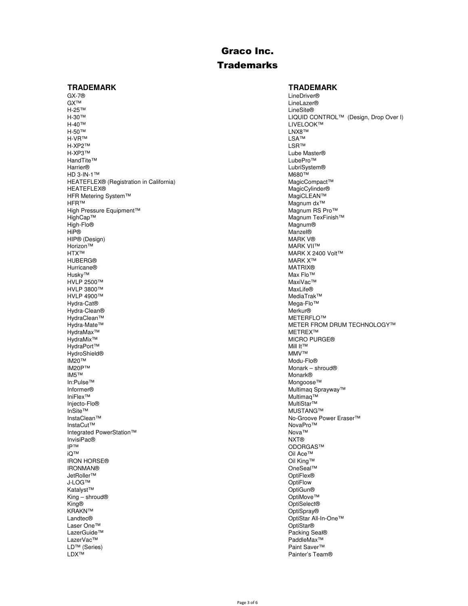## **Trademarks**

GX-7® LineDriver® GX™ LineLazer®<br>H-25™ H-25™ LineSite® H-25™ LineSite® H-40™ LIVELOOK™ LANDING LIVELOOK™ LANDING LIVELOOK™ LANDING LIVELOOK™ LANDING LIVELOOK™ LANDING LIVELOOK™ LANDING LIVELOOK™ LANDING LIVELOOK™ LANDING LIVELOOK™ LANDING LIVELOOK™ LANDING LIVELOOK™ LANDING LIVELOOK™ LANDING  $\mathsf{H}\text{-}50^{\intercal\mathsf{M}}$   $\blacksquare$ H-VR™ LSA™ H-XP2™ LSR™ H-XP3™ Lube Master®<br>HandTite™ LubePro™ LubePro™ LubePro™ HandTite™ LubePro™ Lube<br>Harrier® LubePro™ LubeNow Harrier® LubriSystem® HD 3-IN-1™ M680™ HEATEFLEX® (Registration in California) MagicCompact™ MagicCompact™<br>HEATEFLEX® MagicCylinder® HFR Metering System™<br>HFR™ High Pressure Equipment<sup>™</sup> HighCap™ Magnum TexFinish™ High-Flo® Magnum® HiP® Manzel® HIP® (Design) MARK V® Horizon™ MARK VII™ MARK VII™ MARK VII™ MARK VII™ MARK VII™ MARK VII™ MARK VII™ MARK VII HUBERG® MARK X™ Hurricane® MATRIX® Husky™ Max Flo™<br>HVLP 2500™ Maximum de and the account of the account of the account of the MaxiVac™ HVLP 2500™ MaxiVac™ HVLP 3800™ MaxLife® Nuclear MaxLife® MaxLife® MaxLife® MaxLife® MaxLife® MaxLife® MaxLife® MaxLife® MediaTrak™ HVLP 4900™ MediaTrak™ Hydra-Cat<sup>®</sup> Hydra-Clean® Merkur® HydraClean™<br>Hydra-Mate™ HydraMax™ HydraMix™ MICRO PURGE®<br>HydraPort™ Mill t™ Mill t™ Mill t™ Mill t™ HydraPort™ Mill It™<br>HydroShield® Mill It™ Mill It™ Mill It™ Mill It™ HydroShield® MMV™<br>IM20™ Modu-Flo® IM20™ Modu-Flo® IM20P™ Monark – shroud®<br>IM5™ Monark® Monark® IM5™ Monark® In:Pulse™ Mongoose™ Informer® Multimaq Sprayway™ السابقات المستخدمة المستخدمة المستخدمة المستخدمة المستخدمة المستخدمة المستخدمة المستخدمة المستخدمة المستخدمة<br>المستخدمة المستخدمة المستخدمة المستخدمة المستخدمة المستخدمة المستخدمة المستخدمة المستخدمة المستخدمة المستخدمة<br> Injecto-Flo® MultiStar™ InSite™ MUSTANG™<br>InstaClean™ MustaClean™ MustaClean™ MustaClean™ MustaClean™ InstaClean™ No-Groove Power Eraser™ No-Groove Power Eraser™ No-Groove Power Eraser™<br>InstaCut™ NovaPro™ InstaCut™ NovaPro™ Integrated PowerStation™ Nova™ Nova™ Nova™ Nova™ Nova™ Nova™ Nova™ Nova™ Nova™ Nova InvisiPac®<br>IP™ IP™ ODORGAS™ ODORGAS™ ON CONTRACTION IRON HORSE®<br>IRONMAN® IRONMAN® OneSeal™<br>JetRoller™ OptiFlex® JetRoller™ OptiFlex® J-LOG™ OptiFlow Katalyst™ OptiGun® King – shroud® OptiMove™ King® OptiSelect® KRAKN™ OptiSpray® Laser One™<br>LazerGuide™ LazerGuide™ Packing Seal® LazerVac™ PaddleMax™ PaddleMax™ PaddleMax™ PaddleMax™ PaddleMax™ LD™ (Series) Paint Saver™ Paint Saver™ Paint Saver™ Paint Saver™ Paint Saver™ Paint Saver™ Paint Saver™ Paint Saver™ Paint Saver™ Paint Saver™ Paint Saver™ Paint Saver

### **TRADEMARK TRADEMARK**

H-30™ LIQUID CONTROL™ (Design, Drop Over I)<br>H-40™ LIVELOOK™ LIVELOOK™ LIVELOOK™ MagicCylinder®<br>MagiCLEAN™ Magnum dx™<br>Magnum RS Pro™ MARK X 2400 Volt™<br>MARK X™ METER FROM DRUM TECHNOLOGY™<br>METREX™ Oil Ace<sup>™</sup><br>Oil Kina™ OptiStar All-In-One™<br>OptiStar® Painter's Team®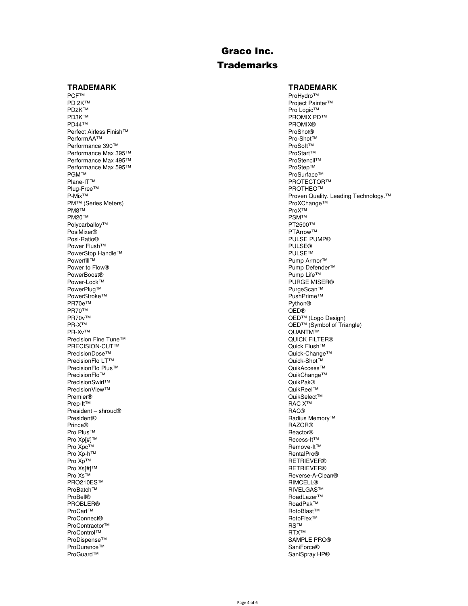## **Trademarks**

#### **TRADEMARK TRADEMARK**

PCF™ ProHydro™ ProHydro™ ProHydro™ ProHydro™ ProHydro™ ProHydro™ ProHydro™ Pro<br>Project Pain PD 2K™ Project Painter™ PD2K™ Project Painter™ PD2K™ Project Painter™ PD2K™ Pro PD2K™ POXT™ PROMIX PLAN PROMIX PLAN PROMIX PLAN PROMIX PLAN PROMIX PLAN PROMIX PLAN PROMIX PLAN PROMIX PLAN PROMIX PLAN PROMIX PLAN PROMIX PLAN PROMIX PLAN PROMIX PLAN PROMIX PLAN PROMIX PLAN PROMIX PLAN PROMIX PLAN PROMI PD3K™ PROMIX PD™<br>PD44™ PROMIX® PD44™ PROMIX® Perfect Airless Finish™ ProShot®<br>PerformAA™ Pro-Shot™ Pro-Shot® PerformAA™ Pro-Shot™<br>Performance 390™ Proformation and the control of the control of the Pro-Shot™ Pro-Shot™ Performance 390™ ProSoft™ Performance Max 395™ ProSoft™ ProSoft™ ProSoft™ ProSoft™ Performance Max 395™ ProStart™ ProStart™ ProStart™ ProStart™ ProStart™ ProStart™ ProStart™ Performance Max 495™ ProStencil™<br>Performance Max 595™ ProStencil™ Performance Max 595™<br>PGM™ PGM™ ProSurface™<br>Plane-IT™ PROTECTOF Plug-Free™<br>P-Mix™ PM™ (Series Meters) ProXChange™ ProXChange™ ProXChange™ ProXChange™ ProX™ ProX™ PM8™ ProX™ PM20™ PSM™ Polycarballoy™ PT2500™ PT2500™ PT2500™ PT2500™ PT2500™ PT4rrow™ PT4rrow™ PT4rrow™ PosiMixer®<br>Posi-Ratio® Power Flush™<br>PowerStop Handle™ PuLSE®<br>PowerStop Handle™ PowerStop Handle™<br>Powerfill™ Powerfill™ Pump Armor™<br>Power to Flow® Pump Armor™ Pump Armor™ Pump Armor™ Power to Flow® Pump Defender™<br>PowerBoost® Pump Defender™ PowerBoost® Pump Life™ Pump Life™ Pump Life™ Pump Life™ Pump Life™ Pump Life™ Pump Life™ Pump Life™ Pump Life™ Pump Life™ Pump Life™ Pump Life™ Pump Life™ Pump Life™ Pump Life™ Pump Life™ Pump Life™ Pump Life™ Pump Life™ Power-Lock™ PURGE MISER®<br>PowerPlug™ PurgeScan™ PurgeScan™ PowerStroke™ PushPrime™ PushPrime™ PushPrime™ PushPrime™ PushPrime™ PushPrime™ PushPrime™ PushPrime PR70e™ Python® PR70™ QED® PR70v™ QED™ (Logo Design)<br>PR-X™ QED™ (Symbol of Tria Precision Fine Tune™ and the Tune™ and the County of Tune™ and the County of Tune Tune™ and the County of Tun<br>PRECISION-CUT™ and the County of Tune Tune of Tune of Tune of Tune of Tune of Tune of Tune of Tune of Tune of PRECISION-CUT™<br>PrecisionDose™ PrecisionFlo LT™ and the control of the control of the control of the control of the control of the control of the control of the control of the control of the control of the control of the control of the control of the c PrecisionFlo Plus<sup>™</sup><br>PrecisionFlo<sup>™</sup> PrecisionSwirl™<br>PrecisionView™ de and the control of the control of the control of the control of the control of the control of the control of the control of the control of the control of the control of the control of the PrecisionView™<br>Premier® Premier® QuikSelect™ Prep-It™ RAC X™ President – shroud® **RAC®** RAC® Resident – shroud® RAC® RAC® Resident® RAC® Resident® President® Radius Memory™<br>Prince® RAZOR® RAZOR® Prince® RAZOR® Pro Plus™ Reactor®<br>Pro Xp[#]™ Reactor® Reactor® Pro Xp[#]™ Recess-It™ Recess-It™ Recess-It™ Recess-It™ Recess-It™ Recess-It™ Recess-It™ Recess-It™ Recess-It™ Recess-It™ Recess-It™ Remove Pro Xpc™ Remove-It™ Remove-It™ Remove-It™ Remove-It™ Remove-It™ Remove-It™ Remove-It™ Remove-It™ Remove-It™ Remove-It™ Remove-It™ Remove-It™ Remove-It™ Remove-It™ Remove-It™ Remove-It™ Remove-It™ Remove-It™ Remove-It™ Rem Pro Xp-h™ RentalPro®<br>Pro Xp™ RentalPro® RentalPro® RentalPro® Pro Xp™ RETRIEVER®<br>Pro Xs[#]™ RETRIEVER® RETRIEVER® Pro Xs[#]™ RETRIEVER®<br>Pro Xs™ Reverse-A-Cle PRO210ES™ RIMCELL®<br>ProBatch™ RIMCELL® RIMCELL® ProBatch™ RIVELGAS™ RIVELGAS™ RIVELGAS™ RIVELGAS™ RIVELGAS™ RIVELGAS™ RIVELGAS™ RIVELGAS™ ROAD ProBell® RoadLazer™<br>PROBLER® ROADLAZER™ ROADLAZER™ ROADLAZER™ PROBLER® RoadPak™ RoadPak™ RoadPak™ RoadPak™ RoadPak™ RoadPak™ RoadPak™ RoadPak™ RoadPak™ RoadPak™ RoadPak™ Ro ProConnect® RotoFlex™ RotoFlex™ RotoFlex™ RotoFlex™ RotoFlex™ RS™ RS™ RS™ RS™ ProContractor™ RS™ ProControl™<br>ProDispense<sup>™</sup> ProDurance™ SaniForce®<br>ProGuard™ SaniSoray FroGuard™ SaniSoray FroGuard™ SaniSoray F

PROTECTOR™<br>PROTHEO™ Proven Quality. Leading Technology.<sup>™</sup><br>ProXChange™ PULSE PUMP® PurgeScan™<br>PushPrime™ PR-X™ QED™ (Symbol of Triangle)<br>PR-X™ QUANTM™ QUANTM™ QUANTM™<br>QUICK FILTER® Quick-Change™<br>Quick-Shot™ QuikChange™<br>QuikPak® Reverse-A-Clean® RotoBlast™<br>RotoFlex™ SAMPLE PRO® SaniSpray HP®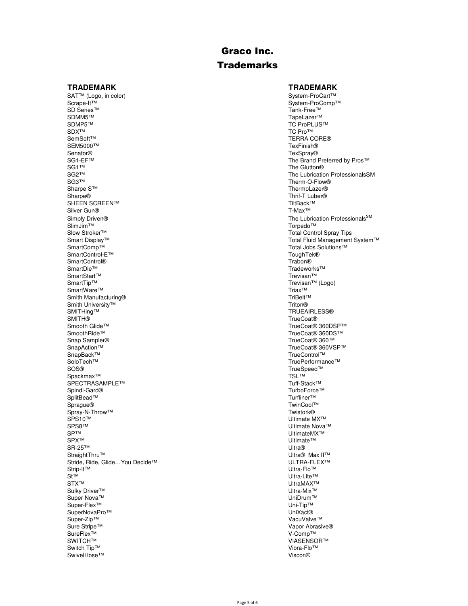## **Trademarks**

SAT™ (Logo, in color) System-ProCart™ (Cogo, in color) System-ProCart™ Scrape-It™ System-ProComp<sup>1</sup> Scrape-It™ System-ProComp™ System-ProComp™ System-ProComp™ System-ProComp™ System-ProComp™ System-ProComp™ System-ProComp™ System-ProComp™ System-ProComp™ System-ProComp™ System-ProComp™ System-ProComp™ System-ProComp™ Sy SD Series™ Tank-Free™ Tank-Free™ Tank-Free™ Tank-Free™ SDMM5™ SDMM5™ TapeLazer™ TapeLazer™ TapeLazer™ TapeLazer™ TapeLazer™ TapeLazer™ TapeLazer™ TapeLazer™ TapeLazer™ TapeLazer™ TapeLazer™ TapeLazer™ TapeLazer™ TapeLazer™ TapeLazer™ TapeLazer™ TapeLazer™ TapeLazer™ TapeLazer SDMP5™ TC ProPLUS™ TC ProPLUS™ TC ProPLUS™ TC ProPLUS™ TC ProPLUS™  $S$ D $X^{\intercal M}$  TC Pro $^{\intercal M}$ SemSoft™ TERRA CORE®<br>SEM5000™ TERRA CORE® TexFinish® SEM5000™ TexFinish® Senator® TexSpray® TexSpray® TexSpray® TexSpray® TexSpray® TexSpray® TexSpray® TexSpray® The Brand I SG1-EF™ The Brand Preferred by Pros™ The Brand Preferred by Pros™ The Glutton® SG1™ The Glutton®<br>SG2™ The Lubrication® SG3™ Therm-O-Flow®<br>Sharpe S™ ThermoLazer® ThermoLazer® Sharpe S™ ThermoLazer® Sharpe® Sharpe® Sharpe® Sharpe® Sharpe® Sharpe® Sharpe® Sharpe® Sharpe® Sharpe® Sharpe® Sharpe® Sharpe® Sharpe® Sharpe® Sharpe® Sharpe® Sharpe® Sharpe® Sharpe® Sharpe® Sharpe® Sharpe® Sharpe® Sharpe SHEEN SCREEN™ TiltBack™<br>Silver Gun® TiltBack™ Silver Gun® SlimJim™ Torpedo™ Torpedo™ Torpedo™ Torpedo™ Torpedo™ Torpedo™ Torpedo™ Torpedo™ Torpedo™ Torpedo™ Torpedo™ Torpedo™ Torpedo™ Torpedo™ Torpedo™ Torpedo™ Torpedo™ Torpedo™ Torpedo™ Torpedo™ Torpedo™ Torpedo™ Torpedo Slow Stroker™ Total Control Spray Tips Smart Display™ Total Control Spray Tips Smart Display™ Total Fluid Management SmartControl-E™ ToughTek®<br>SmartControl® The Control Control Control Control Control Control Control Control Control Control Control Cont SmartControl<sup>®</sup><br>SmartDie™ SmartStart™<br>SmartTip™ SmartWare™ Triax<sup>™</sup><br>Smith Manufacturing® Triax™ Triax™ TriBelt™ Smith Manufacturing® **TriBelt™** Smith University™ TriBelt™ TriBelt™ TriBelt™ Tribelt™ Tribelt™ Tribelt™ Tribelt™ Smith University™<br>SMITHing™ SMITHing™ TRUEAIRLESS®<br>SMITH® TrueCoat® SMITH® TrueCoat®<br>Smooth Glide™ TrueCoat® TrueCoat® Smooth Glide™ TrueCoat® 360DSP™ TrueCoat® 360DSP™ TrueCoat® 360DSP™ TrueCoat® 360DSP™ SmoothRide™ SmoothRide™ TrueCoat® 360DS™ TrueCoat® 360DS™ TrueCoat® 360DS™ TrueCoat® 360DS™ Snap Sampler®<br>SnapAction™ TrueCoat® 360™<br>SnapAction™ TrueCoat® 360VS SnapAction™ TrueCoat® 360VSP™ TrueCoat® 360VSP™ TrueCoat® 360VSP™ TrueCoat® 360VSP™ TrueControl™ TrueControl™ TrueControl™ TrueControl™ TrueControl™ TrueControl™ TrueControl™ TrueControl™ TrueControl™ TrueControl™ TrueCon SnapBack™ TrueControl™ TrueControl™ TrueControl™ TrueControl™ TrueControl™ TrueControl™ TrueControl™ TrueControl™ TrueControl™ TrueControl™ True SOS® TrueSpeed™<br>Spackmax™ TSL™ TSL™ Spackmax™ TSL™<br>SPECTRASAMPLE™ TWO TEXT TO THE STATE THE STATE THE STATE THE STATE THE STATE THE STATE THE STATE THE STATE TH SPECTRASAMPLE™<br>Spindl-Gard® SplitBead™ Turfliner™ Turfliner™ Turfliner™ Turfliner™ Turfliner™ Turfliner™ Turfliner™ Sprague® TwinCool™ Spray-N-Throw™ Twistork®<br>SPS10™ Ultimate N SPS10™ Ultimate MX™ Ultimate MX™ Ultimate MX™ Ultimate MX™ Ultimate MX™ SPS8™ Ultimate Nova™ Ultimate Nova™ Ultimate Nova™ Ultimate Nova™ Ultimate Nova™ Ultimate Nova™ Ultimate Nova  $S$ P™ UltimateMX™ UltimateMX™ UltimateMX™ UltimateMX™ SPX™ Ultimate™ SR-25™ Ultra® StraightThru™ Ultra® Max II™<br>Stride, Ride, Glide…You Decide™ National Stride Max II™ ULTRA-FLEX™ Stride, Ride, Glide…You Decide™ ULTRA-FLI<br>Strip-It™ Ultra-Flo™ Strip-It™ Ultra-Flo™ St™ Ultra-Lite™<br>STX™ UltraMAX™ STX™ UltraMAX™ Sulky Driver™ Ultra-Mix™<br>Super Nova™ UniDrum™ UniDrum™ UniDrum™ Super Nova™ UniDrum™<br>Super-Flex™ Uni<sup>Tip™</sup> Uni Super-Flex™ Uni-Tip™<br>SuperNovaPro™ National Super-Flex™ Uni-Tip™ Uni-Tip™ SuperNovaPro™<br>Super-Zip™ Super-Zip™ VacuValve™<br>Sure Stripe™ Nacument of the Super-Sip™ VacuValve™ Vapor Abrasi Sure Stripe™ Vapor Abrasive®<br>SureFlex™ V-Comp™ V-Comp™ SureFlex™ V-Comp™ SWITCH™ VIASENSOR™ VIASENSOR™ VIASENSOR™ VIASENSOR™ VIASENSOR™ Switch Tip™ Vibra-Flow witch Tip™ Vibra-Flow witch Tip™ Vibra-Flow witch Tip™ Viscon®<br>SwivelHose™ Viscon® SwivelHose™

### **TRADEMARK TRADEMARK**

SG2™ The Lubrication ProfessionalsSM<br>SG3™ Therm-O-Flow® Thrif-T Luber<sup>®</sup><br>TiltBack™ Simply Driven® The Lubrication Professionals<sup>SM</sup> The Lubrication Professionals<sup>SM</sup> Smart Display™ Total Fluid Management System™ Total Fluid Management System™ Total Fluid Management System™ Total Jobs Solutions™ Tradeworks™<br>Trevisan™ Trevisan™ (Logo)<br>Triax™ TruePerformance™ TurboForce™<br>Turfliner™